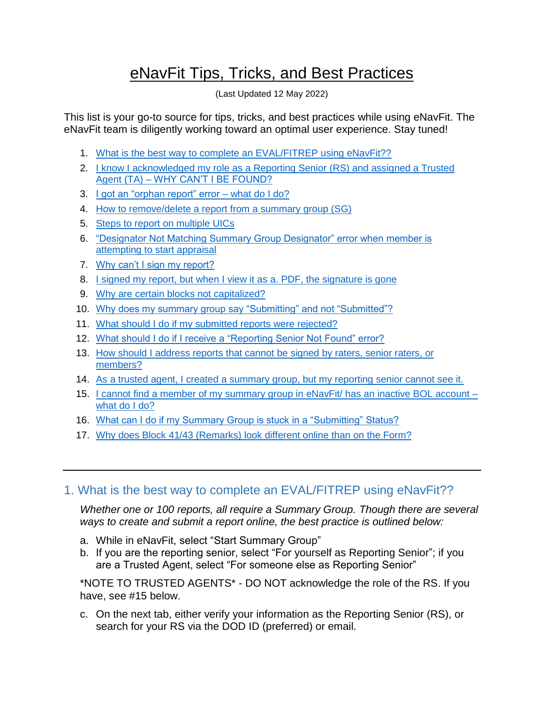# eNavFit Tips, Tricks, and Best Practices

(Last Updated 12 May 2022)

This list is your go-to source for tips, tricks, and best practices while using eNavFit. The eNavFit team is diligently working toward an optimal user experience. Stay tuned!

- 1. [What is the best way to complete an EVAL/FITREP using eNavFit??](#page-0-0)
- 2. [I know I acknowledged my role as a Reporting Senior \(RS\) and assigned a Trusted](#page-1-0)  Agent (TA) – [WHY CAN'T I BE FOUND?](#page-1-0)
- 3. [I got an "orphan report" error –](#page-1-1) what do I do?
- 4. [How to remove/delete a report from a summary group \(SG\)](#page-2-0)
- 5. [Steps to report on multiple UICs](#page-3-0)
- 6. ["Designator Not Matching Summary Group Designator" error when member is](Designator_Not#_6._)  [attempting to start appraisal](Designator_Not#_6._)
- 7. [Why can't I sign my report?](#page-3-1)
- 8. [I signed my report, but when I view it as a. PDF, the signature is gone](#page-3-2)
- 9. [Why are certain blocks not capitalized?](#page-4-0)
- 10. [Why does my summary group say "Submitting" and not "Submitted"?](#page-4-1)
- 11. [What should I do if my submitted reports were rejected?](#page-4-2)
- 12. [What should I do if I receive a "Reporting Senior Not Found" error?](#page-5-0)
- 13. [How should I address reports that cannot be signed by raters, senior raters, or](#page-5-1)  [members?](#page-5-1)
- 14. [As a trusted agent, I created a summary group, but my reporting senior cannot see it.](#page-5-2)
- 15. I cannot find a member of my summary group in eNavFit/ has an inactive BOL account  $$ [what do I do?](#page-6-0)
- 16. [What can I do if my Summary Group is stuck in a "Submitting" Status?](#page-6-1)
- 17. [Why does Block 41/43 \(Remarks\) look different online than on the Form?](#page-7-0)

# <span id="page-0-0"></span>1. What is the best way to complete an EVAL/FITREP using eNavFit??

*Whether one or 100 reports, all require a Summary Group. Though there are several ways to create and submit a report online, the best practice is outlined below:*

- a. While in eNavFit, select "Start Summary Group"
- b. If you are the reporting senior, select "For yourself as Reporting Senior"; if you are a Trusted Agent, select "For someone else as Reporting Senior"

\*NOTE TO TRUSTED AGENTS\* - DO NOT acknowledge the role of the RS. If you have, see #15 below.

c. On the next tab, either verify your information as the Reporting Senior (RS), or search for your RS via the DOD ID (preferred) or email.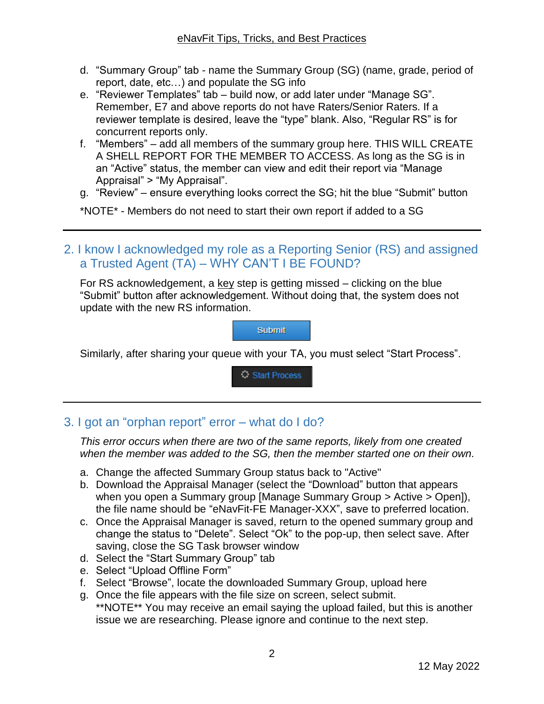- d. "Summary Group" tab name the Summary Group (SG) (name, grade, period of report, date, etc…) and populate the SG info
- e. "Reviewer Templates" tab build now, or add later under "Manage SG". Remember, E7 and above reports do not have Raters/Senior Raters. If a reviewer template is desired, leave the "type" blank. Also, "Regular RS" is for concurrent reports only.
- f. "Members" add all members of the summary group here. THIS WILL CREATE A SHELL REPORT FOR THE MEMBER TO ACCESS. As long as the SG is in an "Active" status, the member can view and edit their report via "Manage Appraisal" > "My Appraisal".
- g. "Review" ensure everything looks correct the SG; hit the blue "Submit" button

\*NOTE\* - Members do not need to start their own report if added to a SG

<span id="page-1-0"></span>2. I know I acknowledged my role as a Reporting Senior (RS) and assigned a Trusted Agent (TA) – WHY CAN'T I BE FOUND?

For RS acknowledgement, a key step is getting missed  $-$  clicking on the blue "Submit" button after acknowledgement. Without doing that, the system does not update with the new RS information.

**Submit** 

Similarly, after sharing your queue with your TA, you must select "Start Process".

Start Process

# <span id="page-1-1"></span>3. I got an "orphan report" error – what do I do?

*This error occurs when there are two of the same reports, likely from one created when the member was added to the SG, then the member started one on their own.*

- a. Change the affected Summary Group status back to "Active"
- b. Download the Appraisal Manager (select the "Download" button that appears when you open a Summary group [Manage Summary Group > Active > Open]), the file name should be "eNavFit-FE Manager-XXX", save to preferred location.
- c. Once the Appraisal Manager is saved, return to the opened summary group and change the status to "Delete". Select "Ok" to the pop-up, then select save. After saving, close the SG Task browser window
- d. Select the "Start Summary Group" tab
- e. Select "Upload Offline Form"
- f. Select "Browse", locate the downloaded Summary Group, upload here
- g. Once the file appears with the file size on screen, select submit. \*\*NOTE\*\* You may receive an email saying the upload failed, but this is another issue we are researching. Please ignore and continue to the next step.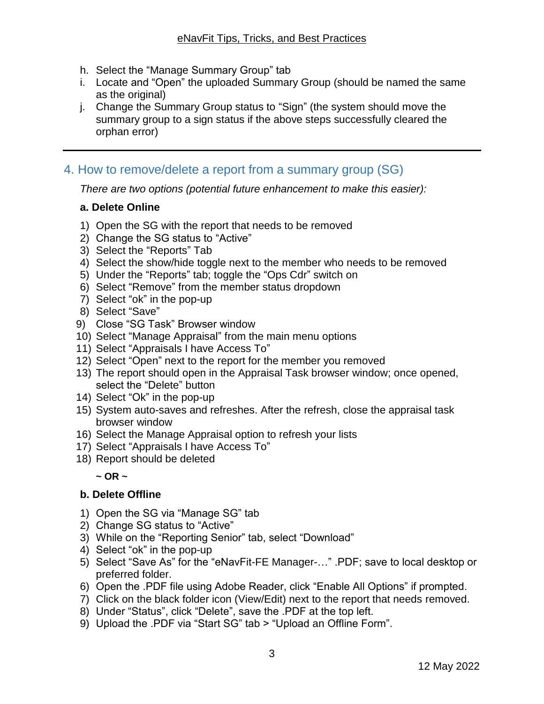- h. Select the "Manage Summary Group" tab
- i. Locate and "Open" the uploaded Summary Group (should be named the same as the original)
- j. Change the Summary Group status to "Sign" (the system should move the summary group to a sign status if the above steps successfully cleared the orphan error)

## <span id="page-2-0"></span>4. How to remove/delete a report from a summary group (SG)

*There are two options (potential future enhancement to make this easier):*

#### **a. Delete Online**

- 1) Open the SG with the report that needs to be removed
- 2) Change the SG status to "Active"
- 3) Select the "Reports" Tab
- 4) Select the show/hide toggle next to the member who needs to be removed
- 5) Under the "Reports" tab; toggle the "Ops Cdr" switch on
- 6) Select "Remove" from the member status dropdown
- 7) Select "ok" in the pop-up
- 8) Select "Save"
- 9) Close "SG Task" Browser window
- 10) Select "Manage Appraisal" from the main menu options
- 11) Select "Appraisals I have Access To"
- 12) Select "Open" next to the report for the member you removed
- 13) The report should open in the Appraisal Task browser window; once opened, select the "Delete" button
- 14) Select "Ok" in the pop-up
- 15) System auto-saves and refreshes. After the refresh, close the appraisal task browser window
- 16) Select the Manage Appraisal option to refresh your lists
- 17) Select "Appraisals I have Access To"
- 18) Report should be deleted

 $\sim$  OR  $\sim$ 

#### **b. Delete Offline**

- 1) Open the SG via "Manage SG" tab
- 2) Change SG status to "Active"
- 3) While on the "Reporting Senior" tab, select "Download"
- 4) Select "ok" in the pop-up
- 5) Select "Save As" for the "eNavFit-FE Manager-…" .PDF; save to local desktop or preferred folder.
- 6) Open the .PDF file using Adobe Reader, click "Enable All Options" if prompted.
- 7) Click on the black folder icon (View/Edit) next to the report that needs removed.
- 8) Under "Status", click "Delete", save the .PDF at the top left.
- 9) Upload the .PDF via "Start SG" tab > "Upload an Offline Form".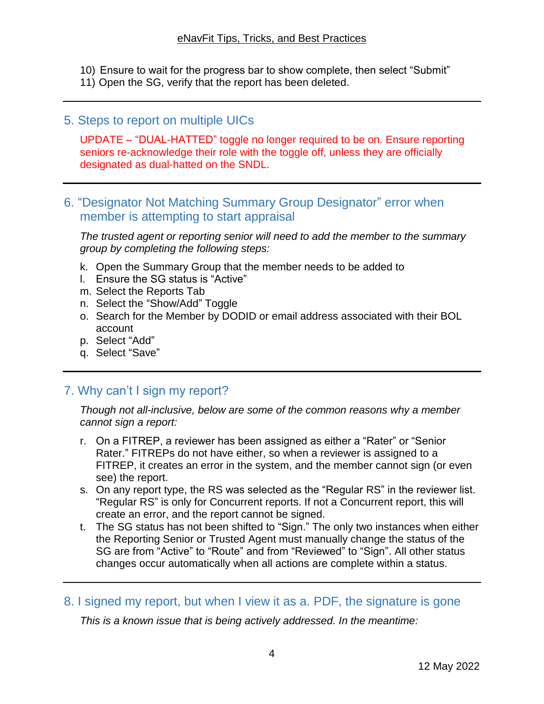- 10) Ensure to wait for the progress bar to show complete, then select "Submit"
- 11) Open the SG, verify that the report has been deleted.

# <span id="page-3-0"></span>5. Steps to report on multiple UICs

UPDATE – "DUAL-HATTED" toggle no longer required to be on. Ensure reporting seniors re-acknowledge their role with the toggle off, unless they are officially designated as dual-hatted on the SNDL.

# 6. "Designator Not Matching Summary Group Designator" error when member is attempting to start appraisal

*The trusted agent or reporting senior will need to add the member to the summary group by completing the following steps:*

- k. Open the Summary Group that the member needs to be added to
- l. Ensure the SG status is "Active"
- m. Select the Reports Tab
- n. Select the "Show/Add" Toggle
- o. Search for the Member by DODID or email address associated with their BOL account
- p. Select "Add"
- q. Select "Save"

# <span id="page-3-1"></span>7. Why can't I sign my report?

*Though not all-inclusive, below are some of the common reasons why a member cannot sign a report:*

- r. On a FITREP, a reviewer has been assigned as either a "Rater" or "Senior Rater." FITREPs do not have either, so when a reviewer is assigned to a FITREP, it creates an error in the system, and the member cannot sign (or even see) the report.
- s. On any report type, the RS was selected as the "Regular RS" in the reviewer list. "Regular RS" is only for Concurrent reports. If not a Concurrent report, this will create an error, and the report cannot be signed.
- t. The SG status has not been shifted to "Sign." The only two instances when either the Reporting Senior or Trusted Agent must manually change the status of the SG are from "Active" to "Route" and from "Reviewed" to "Sign". All other status changes occur automatically when all actions are complete within a status.
- <span id="page-3-2"></span>8. I signed my report, but when I view it as a. PDF, the signature is gone

*This is a known issue that is being actively addressed. In the meantime:*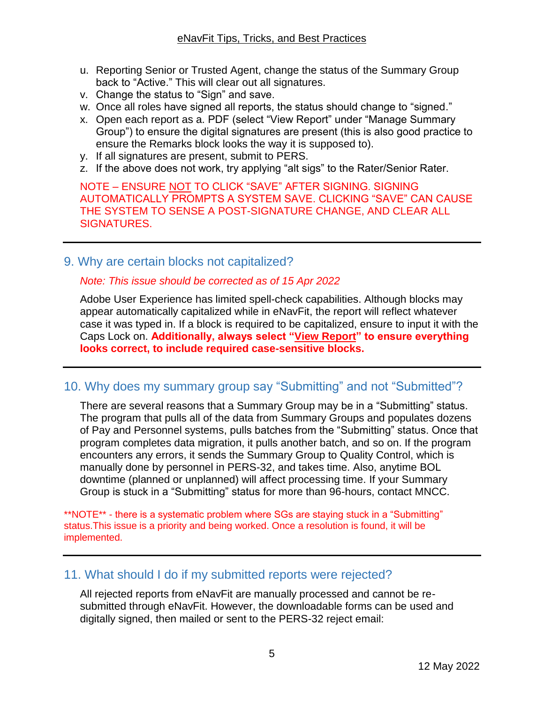- u. Reporting Senior or Trusted Agent, change the status of the Summary Group back to "Active." This will clear out all signatures.
- v. Change the status to "Sign" and save.
- w. Once all roles have signed all reports, the status should change to "signed."
- x. Open each report as a. PDF (select "View Report" under "Manage Summary Group") to ensure the digital signatures are present (this is also good practice to ensure the Remarks block looks the way it is supposed to).
- y. If all signatures are present, submit to PERS.
- z. If the above does not work, try applying "alt sigs" to the Rater/Senior Rater.

NOTE – ENSURE NOT TO CLICK "SAVE" AFTER SIGNING. SIGNING AUTOMATICALLY PROMPTS A SYSTEM SAVE. CLICKING "SAVE" CAN CAUSE THE SYSTEM TO SENSE A POST-SIGNATURE CHANGE, AND CLEAR ALL SIGNATURES.

<span id="page-4-0"></span>9. Why are certain blocks not capitalized?

#### *Note: This issue should be corrected as of 15 Apr 2022*

Adobe User Experience has limited spell-check capabilities. Although blocks may appear automatically capitalized while in eNavFit, the report will reflect whatever case it was typed in. If a block is required to be capitalized, ensure to input it with the Caps Lock on. **Additionally, always select "View Report" to ensure everything looks correct, to include required case-sensitive blocks.**

### <span id="page-4-1"></span>10. Why does my summary group say "Submitting" and not "Submitted"?

There are several reasons that a Summary Group may be in a "Submitting" status. The program that pulls all of the data from Summary Groups and populates dozens of Pay and Personnel systems, pulls batches from the "Submitting" status. Once that program completes data migration, it pulls another batch, and so on. If the program encounters any errors, it sends the Summary Group to Quality Control, which is manually done by personnel in PERS-32, and takes time. Also, anytime BOL downtime (planned or unplanned) will affect processing time. If your Summary Group is stuck in a "Submitting" status for more than 96-hours, contact MNCC.

\*\*NOTE\*\* - there is a systematic problem where SGs are staying stuck in a "Submitting" status.This issue is a priority and being worked. Once a resolution is found, it will be implemented.

### <span id="page-4-2"></span>11. What should I do if my submitted reports were rejected?

All rejected reports from eNavFit are manually processed and cannot be resubmitted through eNavFit. However, the downloadable forms can be used and digitally signed, then mailed or sent to the PERS-32 reject email: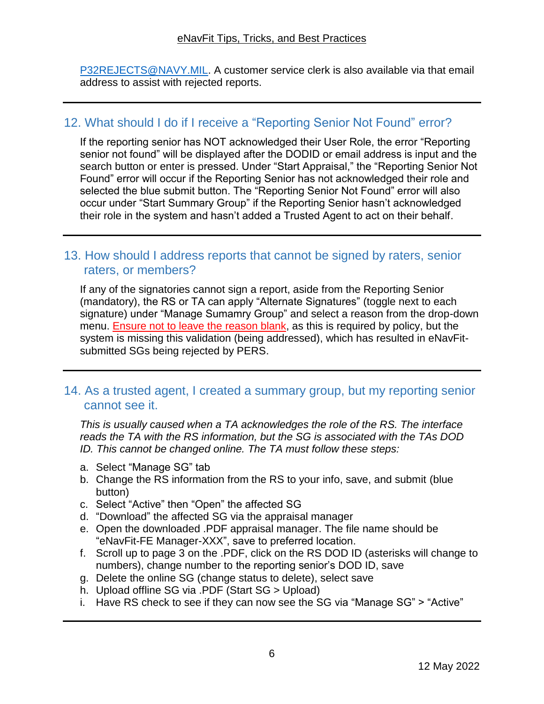[P32REJECTS@NAVY.MIL.](mailto:P32REJECTS@NAVY.MIL) A customer service clerk is also available via that email address to assist with rejected reports.

# <span id="page-5-0"></span>12. What should I do if I receive a "Reporting Senior Not Found" error?

If the reporting senior has NOT acknowledged their User Role, the error "Reporting senior not found" will be displayed after the DODID or email address is input and the search button or enter is pressed. Under "Start Appraisal," the "Reporting Senior Not Found" error will occur if the Reporting Senior has not acknowledged their role and selected the blue submit button. The "Reporting Senior Not Found" error will also occur under "Start Summary Group" if the Reporting Senior hasn't acknowledged their role in the system and hasn't added a Trusted Agent to act on their behalf.

## <span id="page-5-1"></span>13. How should I address reports that cannot be signed by raters, senior raters, or members?

If any of the signatories cannot sign a report, aside from the Reporting Senior (mandatory), the RS or TA can apply "Alternate Signatures" (toggle next to each signature) under "Manage Sumamry Group" and select a reason from the drop-down menu. **Ensure not to leave the reason blank**, as this is required by policy, but the system is missing this validation (being addressed), which has resulted in eNavFitsubmitted SGs being rejected by PERS.

### <span id="page-5-2"></span>14. As a trusted agent, I created a summary group, but my reporting senior cannot see it.

*This is usually caused when a TA acknowledges the role of the RS. The interface reads the TA with the RS information, but the SG is associated with the TAs DOD ID. This cannot be changed online. The TA must follow these steps:*

- a. Select "Manage SG" tab
- b. Change the RS information from the RS to your info, save, and submit (blue button)
- c. Select "Active" then "Open" the affected SG
- d. "Download" the affected SG via the appraisal manager
- e. Open the downloaded .PDF appraisal manager. The file name should be "eNavFit-FE Manager-XXX", save to preferred location.
- f. Scroll up to page 3 on the .PDF, click on the RS DOD ID (asterisks will change to numbers), change number to the reporting senior's DOD ID, save
- g. Delete the online SG (change status to delete), select save
- h. Upload offline SG via .PDF (Start SG > Upload)
- i. Have RS check to see if they can now see the SG via "Manage SG" > "Active"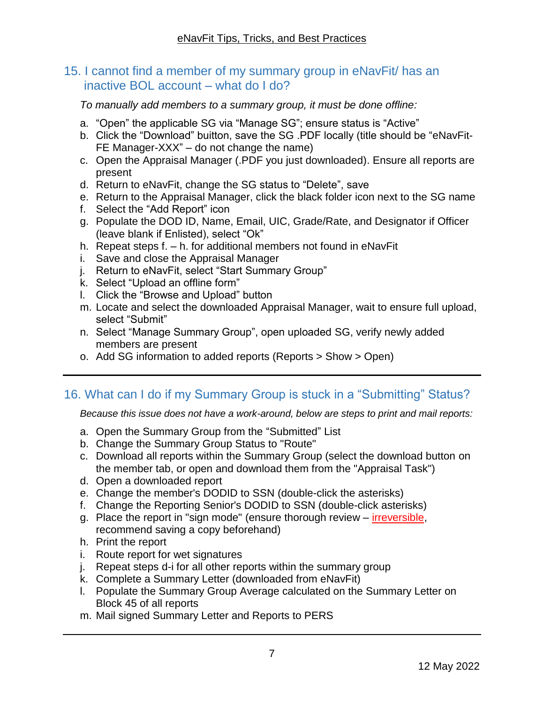## <span id="page-6-0"></span>15. I cannot find a member of my summary group in eNavFit/ has an inactive BOL account – what do I do?

*To manually add members to a summary group, it must be done offline:*

- a. "Open" the applicable SG via "Manage SG"; ensure status is "Active"
- b. Click the "Download" buitton, save the SG .PDF locally (title should be "eNavFit-FE Manager-XXX" – do not change the name)
- c. Open the Appraisal Manager (.PDF you just downloaded). Ensure all reports are present
- d. Return to eNavFit, change the SG status to "Delete", save
- e. Return to the Appraisal Manager, click the black folder icon next to the SG name
- f. Select the "Add Report" icon
- g. Populate the DOD ID, Name, Email, UIC, Grade/Rate, and Designator if Officer (leave blank if Enlisted), select "Ok"
- h. Repeat steps f. h. for additional members not found in eNavFit
- i. Save and close the Appraisal Manager
- j. Return to eNavFit, select "Start Summary Group"
- k. Select "Upload an offline form"
- l. Click the "Browse and Upload" button
- m. Locate and select the downloaded Appraisal Manager, wait to ensure full upload, select "Submit"
- n. Select "Manage Summary Group", open uploaded SG, verify newly added members are present
- o. Add SG information to added reports (Reports > Show > Open)

# <span id="page-6-1"></span>16. What can I do if my Summary Group is stuck in a "Submitting" Status?

*Because this issue does not have a work-around, below are steps to print and mail reports:*

- a. Open the Summary Group from the "Submitted" List
- b. Change the Summary Group Status to "Route"
- c. Download all reports within the Summary Group (select the download button on the member tab, or open and download them from the "Appraisal Task")
- d. Open a downloaded report
- e. Change the member's DODID to SSN (double-click the asterisks)
- f. Change the Reporting Senior's DODID to SSN (double-click asterisks)
- g. Place the report in "sign mode" (ensure thorough review irreversible, recommend saving a copy beforehand)
- h. Print the report
- i. Route report for wet signatures
- j. Repeat steps d-i for all other reports within the summary group
- k. Complete a Summary Letter (downloaded from eNavFit)
- l. Populate the Summary Group Average calculated on the Summary Letter on Block 45 of all reports
- m. Mail signed Summary Letter and Reports to PERS